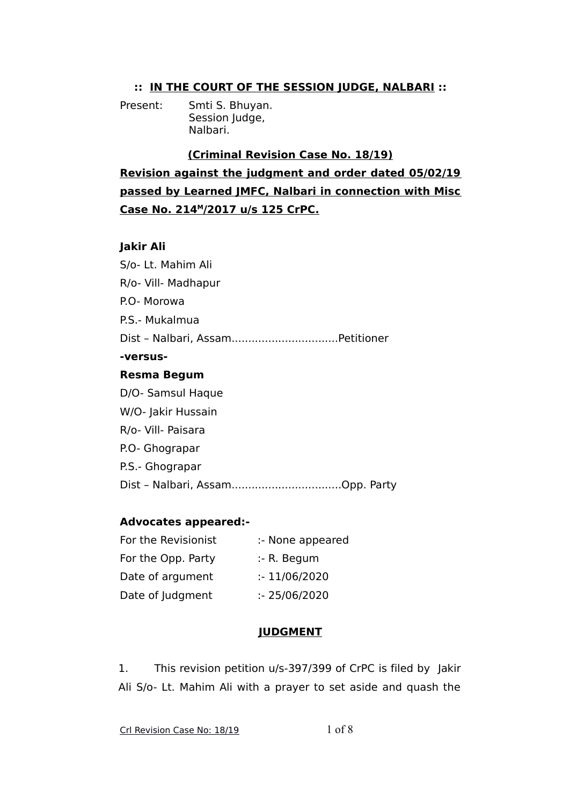## **:: IN THE COURT OF THE SESSION JUDGE, NALBARI ::**

Present: Smti S. Bhuyan. Session Judge, Nalbari.

**(Criminal Revision Case No. 18/19)**

**Revision against the judgment and order dated 05/02/19 passed by Learned JMFC, Nalbari in connection with Misc Case No. 214<sup>M</sup> /2017 u/s 125 CrPC.**

## **Jakir Ali**

| S/o- Lt. Mahim Ali  |
|---------------------|
| R/o- Vill- Madhapur |
| P.O- Morowa         |
| P.S.- Mukalmua      |
|                     |
| -versus-            |
| <b>Resma Begum</b>  |
| D/O- Samsul Haque   |
| W/O- Jakir Hussain  |
| R/o- Vill- Paisara  |
| P.O- Ghograpar      |
| P.S.- Ghograpar     |
|                     |

## **Advocates appeared:-**

| For the Revisionist | :- None appeared |
|---------------------|------------------|
| For the Opp. Party  | $: R.$ Begum     |
| Date of argument    | : 11/06/2020     |
| Date of Judgment    | : 25/06/2020     |

## **JUDGMENT**

1. This revision petition u/s-397/399 of CrPC is filed by Jakir Ali S/o- Lt. Mahim Ali with a prayer to set aside and quash the

Crl Revision Case No: 18/19 1 of 8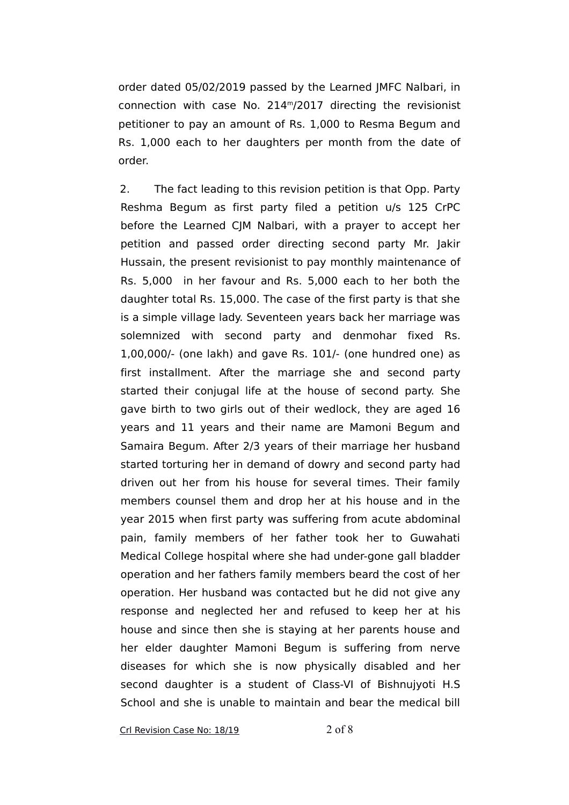order dated 05/02/2019 passed by the Learned JMFC Nalbari, in connection with case No. 214<sup>m</sup>/2017 directing the revisionist petitioner to pay an amount of Rs. 1,000 to Resma Begum and Rs. 1,000 each to her daughters per month from the date of order.

2. The fact leading to this revision petition is that Opp. Party Reshma Begum as first party filed a petition u/s 125 CrPC before the Learned CJM Nalbari, with a prayer to accept her petition and passed order directing second party Mr. Jakir Hussain, the present revisionist to pay monthly maintenance of Rs. 5,000 in her favour and Rs. 5,000 each to her both the daughter total Rs. 15,000. The case of the first party is that she is a simple village lady. Seventeen years back her marriage was solemnized with second party and denmohar fixed Rs. 1,00,000/- (one lakh) and gave Rs. 101/- (one hundred one) as first installment. After the marriage she and second party started their conjugal life at the house of second party. She gave birth to two girls out of their wedlock, they are aged 16 years and 11 years and their name are Mamoni Begum and Samaira Begum. After 2/3 years of their marriage her husband started torturing her in demand of dowry and second party had driven out her from his house for several times. Their family members counsel them and drop her at his house and in the year 2015 when first party was suffering from acute abdominal pain, family members of her father took her to Guwahati Medical College hospital where she had under-gone gall bladder operation and her fathers family members beard the cost of her operation. Her husband was contacted but he did not give any response and neglected her and refused to keep her at his house and since then she is staying at her parents house and her elder daughter Mamoni Begum is suffering from nerve diseases for which she is now physically disabled and her second daughter is a student of Class-VI of Bishnujyoti H.S School and she is unable to maintain and bear the medical bill

Crl Revision Case No: 18/19 2 of 8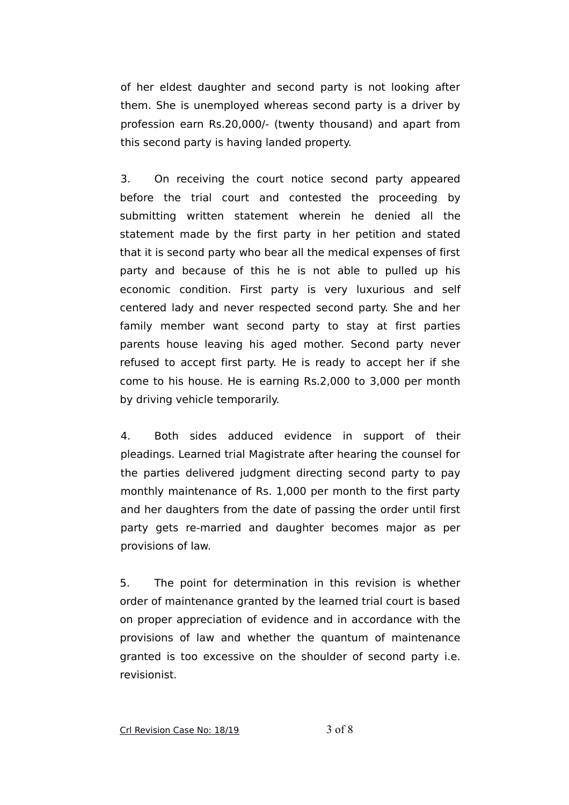of her eldest daughter and second party is not looking after them. She is unemployed whereas second party is a driver by profession earn Rs.20,000/- (twenty thousand) and apart from this second party is having landed property.

3. On receiving the court notice second party appeared before the trial court and contested the proceeding by submitting written statement wherein he denied all the statement made by the first party in her petition and stated that it is second party who bear all the medical expenses of first party and because of this he is not able to pulled up his economic condition. First party is very luxurious and self centered lady and never respected second party. She and her family member want second party to stay at first parties parents house leaving his aged mother. Second party never refused to accept first party. He is ready to accept her if she come to his house. He is earning Rs.2,000 to 3,000 per month by driving vehicle temporarily.

4. Both sides adduced evidence in support of their pleadings. Learned trial Magistrate after hearing the counsel for the parties delivered judgment directing second party to pay monthly maintenance of Rs. 1,000 per month to the first party and her daughters from the date of passing the order until first party gets re-married and daughter becomes major as per provisions of law.

5. The point for determination in this revision is whether order of maintenance granted by the learned trial court is based on proper appreciation of evidence and in accordance with the provisions of law and whether the quantum of maintenance granted is too excessive on the shoulder of second party i.e. revisionist.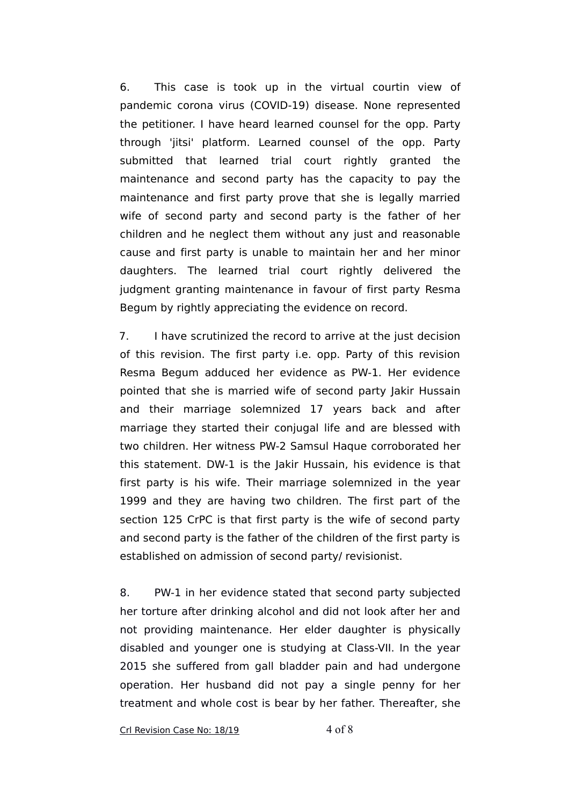6. This case is took up in the virtual courtin view of pandemic corona virus (COVID-19) disease. None represented the petitioner. I have heard learned counsel for the opp. Party through 'jitsi' platform. Learned counsel of the opp. Party submitted that learned trial court rightly granted the maintenance and second party has the capacity to pay the maintenance and first party prove that she is legally married wife of second party and second party is the father of her children and he neglect them without any just and reasonable cause and first party is unable to maintain her and her minor daughters. The learned trial court rightly delivered the judgment granting maintenance in favour of first party Resma Begum by rightly appreciating the evidence on record.

7. I have scrutinized the record to arrive at the just decision of this revision. The first party i.e. opp. Party of this revision Resma Begum adduced her evidence as PW-1. Her evidence pointed that she is married wife of second party Jakir Hussain and their marriage solemnized 17 years back and after marriage they started their conjugal life and are blessed with two children. Her witness PW-2 Samsul Haque corroborated her this statement. DW-1 is the Jakir Hussain, his evidence is that first party is his wife. Their marriage solemnized in the year 1999 and they are having two children. The first part of the section 125 CrPC is that first party is the wife of second party and second party is the father of the children of the first party is established on admission of second party/ revisionist.

8. PW-1 in her evidence stated that second party subjected her torture after drinking alcohol and did not look after her and not providing maintenance. Her elder daughter is physically disabled and younger one is studying at Class-VII. In the year 2015 she suffered from gall bladder pain and had undergone operation. Her husband did not pay a single penny for her treatment and whole cost is bear by her father. Thereafter, she

Crl Revision Case No: 18/19 4 of 8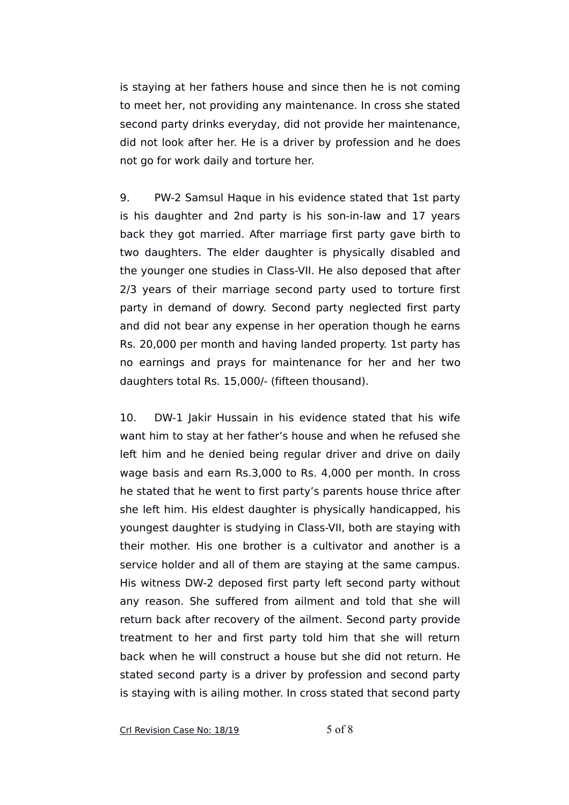is staying at her fathers house and since then he is not coming to meet her, not providing any maintenance. In cross she stated second party drinks everyday, did not provide her maintenance, did not look after her. He is a driver by profession and he does not go for work daily and torture her.

9. PW-2 Samsul Haque in his evidence stated that 1st party is his daughter and 2nd party is his son-in-law and 17 years back they got married. After marriage first party gave birth to two daughters. The elder daughter is physically disabled and the younger one studies in Class-VII. He also deposed that after 2/3 years of their marriage second party used to torture first party in demand of dowry. Second party neglected first party and did not bear any expense in her operation though he earns Rs. 20,000 per month and having landed property. 1st party has no earnings and prays for maintenance for her and her two daughters total Rs. 15,000/- (fifteen thousand).

10. DW-1 Jakir Hussain in his evidence stated that his wife want him to stay at her father's house and when he refused she left him and he denied being regular driver and drive on daily wage basis and earn Rs.3,000 to Rs. 4,000 per month. In cross he stated that he went to first party's parents house thrice after she left him. His eldest daughter is physically handicapped, his youngest daughter is studying in Class-VII, both are staying with their mother. His one brother is a cultivator and another is a service holder and all of them are staying at the same campus. His witness DW-2 deposed first party left second party without any reason. She suffered from ailment and told that she will return back after recovery of the ailment. Second party provide treatment to her and first party told him that she will return back when he will construct a house but she did not return. He stated second party is a driver by profession and second party is staying with is ailing mother. In cross stated that second party

Crl Revision Case No: 18/19 5 of 8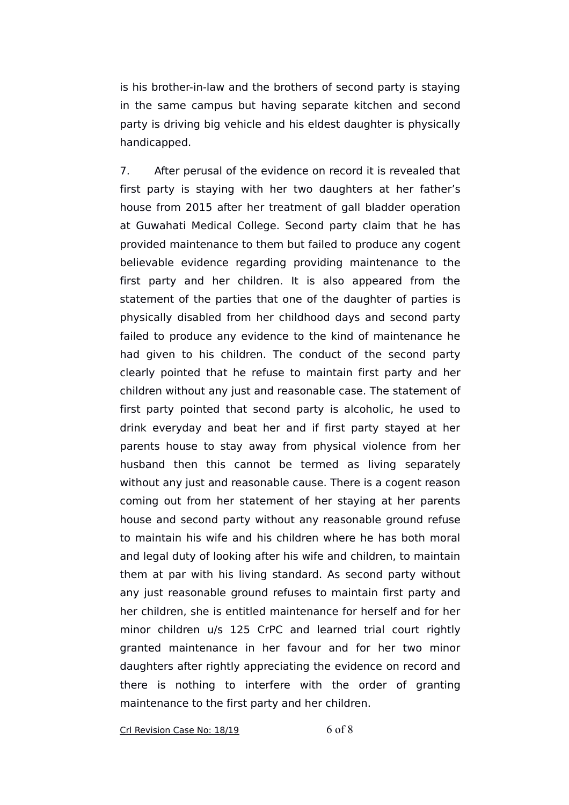is his brother-in-law and the brothers of second party is staying in the same campus but having separate kitchen and second party is driving big vehicle and his eldest daughter is physically handicapped.

7. After perusal of the evidence on record it is revealed that first party is staying with her two daughters at her father's house from 2015 after her treatment of gall bladder operation at Guwahati Medical College. Second party claim that he has provided maintenance to them but failed to produce any cogent believable evidence regarding providing maintenance to the first party and her children. It is also appeared from the statement of the parties that one of the daughter of parties is physically disabled from her childhood days and second party failed to produce any evidence to the kind of maintenance he had given to his children. The conduct of the second party clearly pointed that he refuse to maintain first party and her children without any just and reasonable case. The statement of first party pointed that second party is alcoholic, he used to drink everyday and beat her and if first party stayed at her parents house to stay away from physical violence from her husband then this cannot be termed as living separately without any just and reasonable cause. There is a cogent reason coming out from her statement of her staying at her parents house and second party without any reasonable ground refuse to maintain his wife and his children where he has both moral and legal duty of looking after his wife and children, to maintain them at par with his living standard. As second party without any just reasonable ground refuses to maintain first party and her children, she is entitled maintenance for herself and for her minor children u/s 125 CrPC and learned trial court rightly granted maintenance in her favour and for her two minor daughters after rightly appreciating the evidence on record and there is nothing to interfere with the order of granting maintenance to the first party and her children.

Crl Revision Case No: 18/19 6 of 8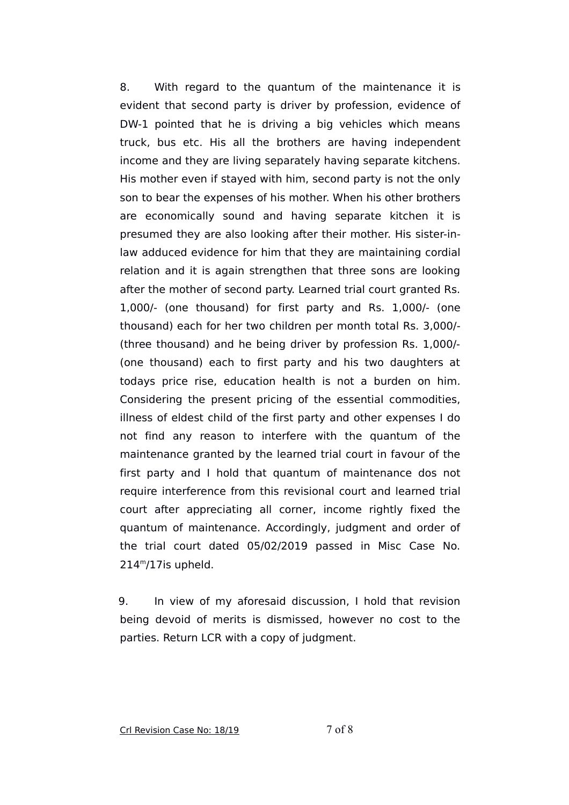8. With regard to the quantum of the maintenance it is evident that second party is driver by profession, evidence of DW-1 pointed that he is driving a big vehicles which means truck, bus etc. His all the brothers are having independent income and they are living separately having separate kitchens. His mother even if stayed with him, second party is not the only son to bear the expenses of his mother. When his other brothers are economically sound and having separate kitchen it is presumed they are also looking after their mother. His sister-inlaw adduced evidence for him that they are maintaining cordial relation and it is again strengthen that three sons are looking after the mother of second party. Learned trial court granted Rs. 1,000/- (one thousand) for first party and Rs. 1,000/- (one thousand) each for her two children per month total Rs. 3,000/- (three thousand) and he being driver by profession Rs. 1,000/- (one thousand) each to first party and his two daughters at todays price rise, education health is not a burden on him. Considering the present pricing of the essential commodities, illness of eldest child of the first party and other expenses I do not find any reason to interfere with the quantum of the maintenance granted by the learned trial court in favour of the first party and I hold that quantum of maintenance dos not require interference from this revisional court and learned trial court after appreciating all corner, income rightly fixed the quantum of maintenance. Accordingly, judgment and order of the trial court dated 05/02/2019 passed in Misc Case No.  $214<sup>m</sup>/17$ is upheld.

9. In view of my aforesaid discussion, I hold that revision being devoid of merits is dismissed, however no cost to the parties. Return LCR with a copy of judgment.